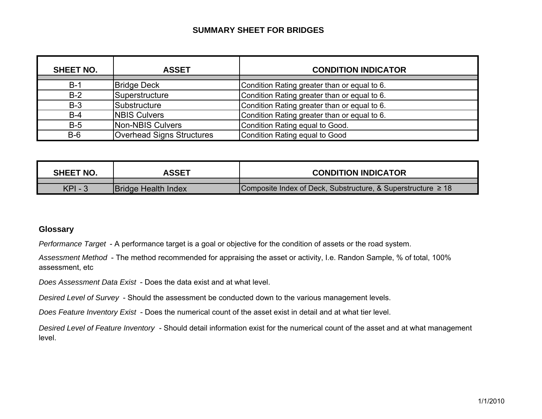#### **SUMMARY SHEET FOR BRIDGES**

| <b>SHEET NO.</b> | <b>ASSET</b>                     | <b>CONDITION INDICATOR</b>                   |
|------------------|----------------------------------|----------------------------------------------|
| $B-1$            | <b>Bridge Deck</b>               | Condition Rating greater than or equal to 6. |
| $B-2$            | Superstructure                   | Condition Rating greater than or equal to 6. |
| $B-3$            | Substructure                     | Condition Rating greater than or equal to 6. |
| $B-4$            | <b>NBIS Culvers</b>              | Condition Rating greater than or equal to 6. |
| $B-5$            | Non-NBIS Culvers                 | Condition Rating equal to Good.              |
| $B-6$            | <b>Overhead Signs Structures</b> | Condition Rating equal to Good               |

| <b>SHEET NO.</b> | ASSET                      | <b>CONDITION INDICATOR</b>                                        |
|------------------|----------------------------|-------------------------------------------------------------------|
|                  |                            |                                                                   |
| $KPI - 3$        | <b>Bridge Health Index</b> | Composite Index of Deck, Substructure, & Superstructure $\geq 18$ |

#### **Glossary**

*Performance Target* - A performance target is a goal or objective for the condition of assets or the road system.

*Assessment Method* - The method recommended for appraising the asset or activity, I.e. Randon Sample, % of total, 100% assessment, etc

*Does Assessment Data Exist* - Does the data exist and at what level.

*Desired Level of Survey* - Should the assessment be conducted down to the various management levels.

*Does Feature Inventory Exist* - Does the numerical count of the asset exist in detail and at what tier level.

*Desired Level of Feature Inventory* - Should detail information exist for the numerical count of the asset and at what management level.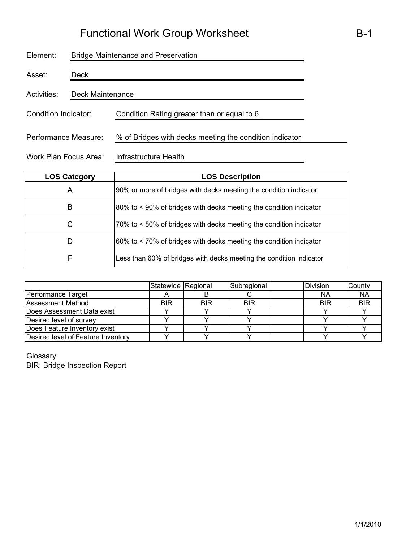| Element:              | <b>Bridge Maintenance and Preservation</b> |                                                         |  |  |  |  |  |
|-----------------------|--------------------------------------------|---------------------------------------------------------|--|--|--|--|--|
| Asset:                | Deck                                       |                                                         |  |  |  |  |  |
| Activities:           | Deck Maintenance                           |                                                         |  |  |  |  |  |
| Condition Indicator:  |                                            | Condition Rating greater than or equal to 6.            |  |  |  |  |  |
| Performance Measure:  |                                            | % of Bridges with decks meeting the condition indicator |  |  |  |  |  |
| Work Plan Focus Area: |                                            | Infrastructure Health                                   |  |  |  |  |  |

| <b>LOS Category</b> | <b>LOS Description</b>                                              |
|---------------------|---------------------------------------------------------------------|
| A                   | 90% or more of bridges with decks meeting the condition indicator   |
| В                   | 80% to < 90% of bridges with decks meeting the condition indicator  |
| С                   | 70% to < 80% of bridges with decks meeting the condition indicator  |
| D                   | 60% to < 70% of bridges with decks meeting the condition indicator  |
| F                   | Less than 60% of bridges with decks meeting the condition indicator |

|                                    | Statewide Regional |            | Subregional | <b>Division</b> | County     |
|------------------------------------|--------------------|------------|-------------|-----------------|------------|
| Performance Target                 |                    |            |             | <b>NA</b>       | <b>NA</b>  |
| <b>Assessment Method</b>           | BIR                | <b>BIR</b> | <b>BIR</b>  | <b>BIR</b>      | <b>BIR</b> |
| Does Assessment Data exist         |                    |            |             |                 |            |
| Desired level of survey            |                    |            |             |                 |            |
| Does Feature Inventory exist       |                    |            |             |                 |            |
| Desired level of Feature Inventory |                    |            |             |                 |            |

Glossary BIR: Bridge Inspection Report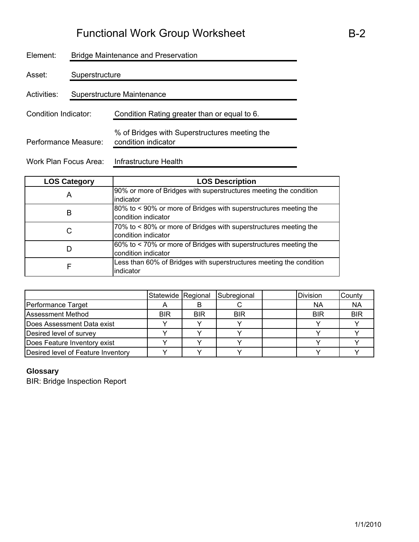| Element:             | <b>Bridge Maintenance and Preservation</b> |                                                                      |  |  |  |  |  |
|----------------------|--------------------------------------------|----------------------------------------------------------------------|--|--|--|--|--|
| Asset:               | Superstructure                             |                                                                      |  |  |  |  |  |
| Activities:          |                                            | Superstructure Maintenance                                           |  |  |  |  |  |
| Condition Indicator: |                                            | Condition Rating greater than or equal to 6.                         |  |  |  |  |  |
| Performance Measure: |                                            | % of Bridges with Superstructures meeting the<br>condition indicator |  |  |  |  |  |

Work Plan Focus Area: Infrastructure Health

| <b>LOS Category</b> | <b>LOS Description</b>                                                                  |
|---------------------|-----------------------------------------------------------------------------------------|
| Α                   | 90% or more of Bridges with superstructures meeting the condition<br>indicator          |
| B                   | 80% to < 90% or more of Bridges with superstructures meeting the<br>condition indicator |
| С                   | 70% to < 80% or more of Bridges with superstructures meeting the<br>condition indicator |
| D                   | 60% to < 70% or more of Bridges with superstructures meeting the<br>condition indicator |
| F                   | Less than 60% of Bridges with superstructures meeting the condition<br>indicator        |

|                                    | Statewide Regional |            | Subregional | <b>Division</b> | County     |
|------------------------------------|--------------------|------------|-------------|-----------------|------------|
| Performance Target                 |                    |            |             | <b>NA</b>       | <b>NA</b>  |
| <b>Assessment Method</b>           | <b>BIR</b>         | <b>BIR</b> | <b>BIR</b>  | <b>BIR</b>      | <b>BIR</b> |
| Does Assessment Data exist         |                    |            |             |                 |            |
| Desired level of survey            |                    |            |             |                 |            |
| Does Feature Inventory exist       |                    |            |             |                 |            |
| Desired level of Feature Inventory |                    |            |             |                 |            |

### **Glossary**

BIR: Bridge Inspection Report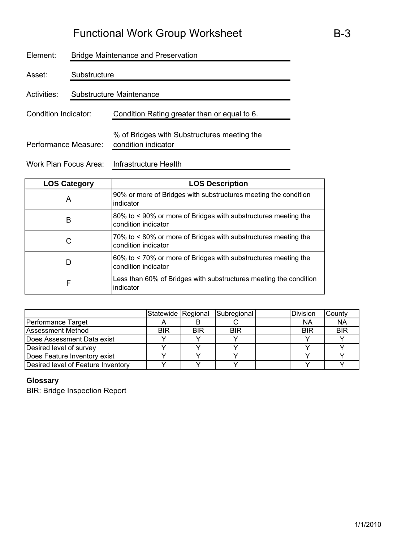| Element:             | <b>Bridge Maintenance and Preservation</b> |                                                                    |  |  |  |  |
|----------------------|--------------------------------------------|--------------------------------------------------------------------|--|--|--|--|
| Asset:               | Substructure                               |                                                                    |  |  |  |  |
| Activities:          | Substructure Maintenance                   |                                                                    |  |  |  |  |
| Condition Indicator: |                                            | Condition Rating greater than or equal to 6.                       |  |  |  |  |
| Performance Measure: |                                            | % of Bridges with Substructures meeting the<br>condition indicator |  |  |  |  |

Work Plan Focus Area: Infrastructure Health

| <b>LOS Category</b> | <b>LOS Description</b>                                                                |
|---------------------|---------------------------------------------------------------------------------------|
| A                   | 90% or more of Bridges with substructures meeting the condition<br>indicator          |
| B                   | 80% to < 90% or more of Bridges with substructures meeting the<br>condition indicator |
|                     | 70% to <80% or more of Bridges with substructures meeting the<br>condition indicator  |
| D                   | 60% to < 70% or more of Bridges with substructures meeting the<br>condition indicator |
| F                   | Less than 60% of Bridges with substructures meeting the condition<br>indicator        |

|                                    | Statewide Regional |            | Subregional | Division   | County     |
|------------------------------------|--------------------|------------|-------------|------------|------------|
| Performance Target                 |                    |            |             | <b>NA</b>  | <b>NA</b>  |
| <b>Assessment Method</b>           | <b>BIR</b>         | <b>BIR</b> | <b>BIR</b>  | <b>BIR</b> | <b>BIR</b> |
| Does Assessment Data exist         |                    |            |             |            |            |
| Desired level of survey            |                    |            |             |            |            |
| Does Feature Inventory exist       |                    |            |             |            |            |
| Desired level of Feature Inventory |                    |            |             |            |            |

### **Glossary**

BIR: Bridge Inspection Report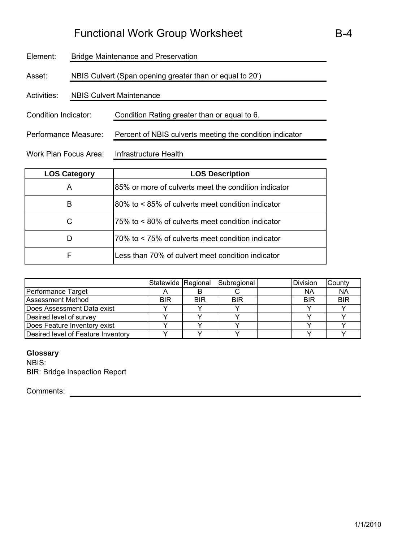| Element:              | Bridge Maintenance and Preservation |                                                          |  |  |  |
|-----------------------|-------------------------------------|----------------------------------------------------------|--|--|--|
| Asset:                |                                     | NBIS Culvert (Span opening greater than or equal to 20') |  |  |  |
| Activities:           | <b>NBIS Culvert Maintenance</b>     |                                                          |  |  |  |
| Condition Indicator:  |                                     | Condition Rating greater than or equal to 6.             |  |  |  |
| Performance Measure:  |                                     | Percent of NBIS culverts meeting the condition indicator |  |  |  |
| Work Plan Focus Area: |                                     | Infrastructure Health                                    |  |  |  |

| <b>LOS Category</b> | <b>LOS Description</b>                               |
|---------------------|------------------------------------------------------|
| A                   | 85% or more of culverts meet the condition indicator |
| B                   | 180% to < 85% of culverts meet condition indicator   |
| С                   | 75% to < 80% of culverts meet condition indicator    |
| D                   | 70% to < 75% of culverts meet condition indicator    |
| F                   | Less than 70% of culvert meet condition indicator    |

|                                    | Statewide Regional |            | Subregional | Division   | County     |
|------------------------------------|--------------------|------------|-------------|------------|------------|
| Performance Target                 |                    |            |             | ΝA         | <b>NA</b>  |
| <b>Assessment Method</b>           | <b>BIR</b>         | <b>BIR</b> | <b>BIR</b>  | <b>BIR</b> | <b>BIR</b> |
| Does Assessment Data exist         |                    |            |             |            |            |
| Desired level of survey            |                    |            |             |            |            |
| Does Feature Inventory exist       |                    |            |             |            |            |
| Desired level of Feature Inventory |                    |            |             |            |            |

#### **Glossary**

NBIS: BIR: Bridge Inspection Report

Comments: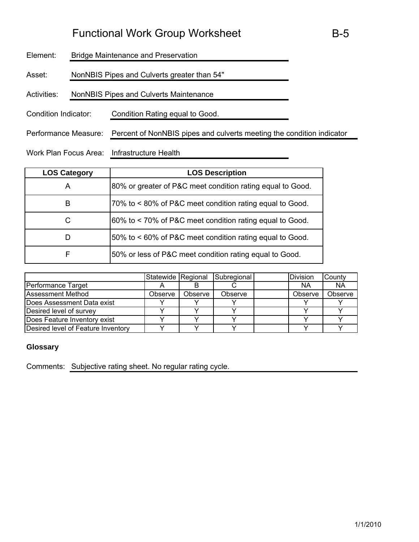| <b>Bridge Maintenance and Preservation</b>              |  |  |  |
|---------------------------------------------------------|--|--|--|
| NonNBIS Pipes and Culverts greater than 54"             |  |  |  |
| <b>NonNBIS Pipes and Culverts Maintenance</b>           |  |  |  |
| Condition Indicator:<br>Condition Rating equal to Good. |  |  |  |
|                                                         |  |  |  |

Performance Measure: Percent of NonNBIS pipes and culverts meeting the condition indicator

Work Plan Focus Area: Infrastructure Health

| <b>LOS Category</b> | <b>LOS Description</b>                                     |
|---------------------|------------------------------------------------------------|
| Α                   | 80% or greater of P&C meet condition rating equal to Good. |
| B                   | 70% to < 80% of P&C meet condition rating equal to Good.   |
| C                   | 60% to < 70% of P&C meet condition rating equal to Good.   |
|                     | 50% to < 60% of P&C meet condition rating equal to Good.   |
| F                   | 50% or less of P&C meet condition rating equal to Good.    |

|                                    | Statewide Regional |         | Subregional | <b>Division</b> | County    |
|------------------------------------|--------------------|---------|-------------|-----------------|-----------|
| Performance Target                 |                    |         |             | <b>NA</b>       | <b>NA</b> |
| <b>Assessment Method</b>           | Observe            | Observe | Observe     | Observe         | Observe   |
| Does Assessment Data exist         |                    |         |             |                 |           |
| Desired level of survey            |                    |         |             |                 |           |
| Does Feature Inventory exist       |                    |         |             |                 |           |
| Desired level of Feature Inventory |                    |         |             |                 |           |

#### **Glossary**

Comments: Subjective rating sheet. No regular rating cycle.

B-5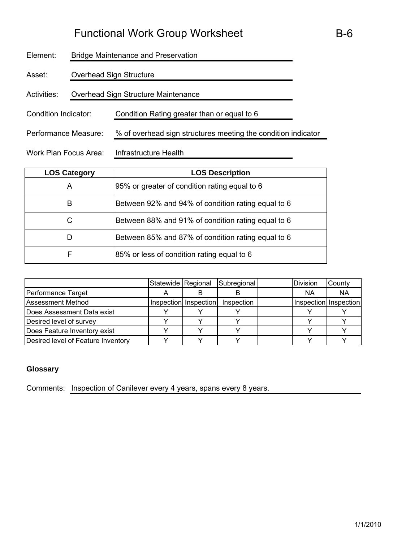| Element:              | <b>Bridge Maintenance and Preservation</b> |                                                               |  |  |  |  |
|-----------------------|--------------------------------------------|---------------------------------------------------------------|--|--|--|--|
| Asset:                |                                            | Overhead Sign Structure                                       |  |  |  |  |
| Activities:           |                                            | Overhead Sign Structure Maintenance                           |  |  |  |  |
| Condition Indicator:  |                                            | Condition Rating greater than or equal to 6                   |  |  |  |  |
| Performance Measure:  |                                            | % of overhead sign structures meeting the condition indicator |  |  |  |  |
| Work Plan Focus Area: |                                            | Infrastructure Health                                         |  |  |  |  |

| <b>LOS Category</b> | <b>LOS Description</b>                             |
|---------------------|----------------------------------------------------|
| A                   | 95% or greater of condition rating equal to 6      |
| В                   | Between 92% and 94% of condition rating equal to 6 |
|                     | Between 88% and 91% of condition rating equal to 6 |
|                     | Between 85% and 87% of condition rating equal to 6 |
| F                   | 85% or less of condition rating equal to 6         |

|                                    | Statewide Regional |                       | Subregional | <b>Division</b> | County                |
|------------------------------------|--------------------|-----------------------|-------------|-----------------|-----------------------|
| Performance Target                 |                    |                       |             | <b>NA</b>       | <b>NA</b>             |
| <b>Assessment Method</b>           |                    | Inspection Inspection | Inspection  |                 | Inspection Inspection |
| Does Assessment Data exist         |                    |                       |             |                 |                       |
| Desired level of survey            |                    |                       |             |                 |                       |
| Does Feature Inventory exist       |                    |                       |             |                 |                       |
| Desired level of Feature Inventory |                    |                       |             |                 |                       |

### **Glossary**

Comments: Inspection of Canilever every 4 years, spans every 8 years.